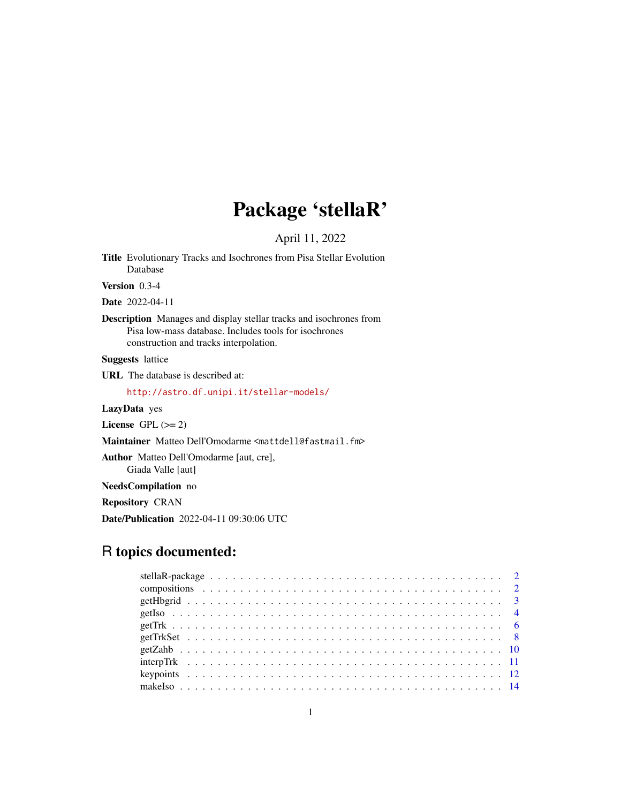## Package 'stellaR'

April 11, 2022

<span id="page-0-0"></span>Title Evolutionary Tracks and Isochrones from Pisa Stellar Evolution Database

Version 0.3-4

Date 2022-04-11

Description Manages and display stellar tracks and isochrones from Pisa low-mass database. Includes tools for isochrones construction and tracks interpolation.

Suggests lattice

URL The database is described at:

<http://astro.df.unipi.it/stellar-models/>

LazyData yes

License GPL  $(>= 2)$ 

Maintainer Matteo Dell'Omodarme <mattdell@fastmail.fm>

Author Matteo Dell'Omodarme [aut, cre], Giada Valle [aut]

NeedsCompilation no

Repository CRAN

Date/Publication 2022-04-11 09:30:06 UTC

## R topics documented: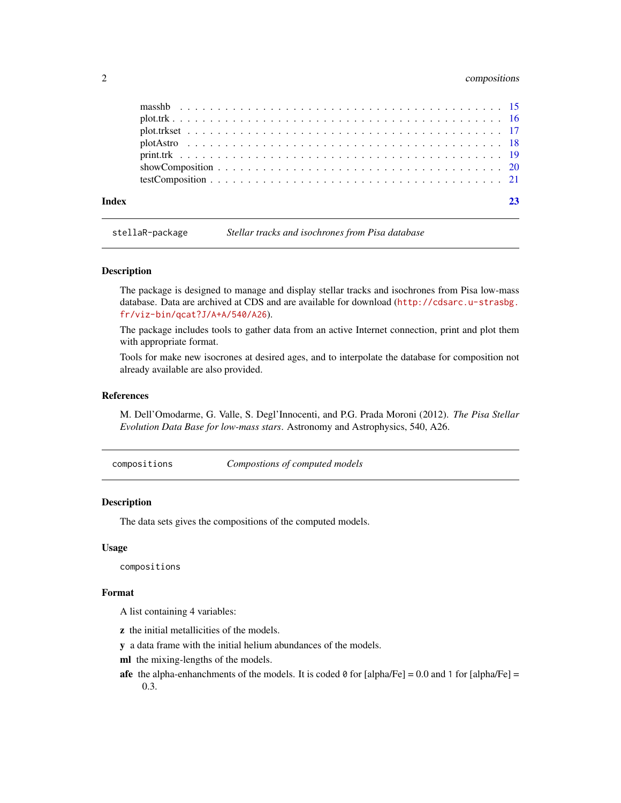## <span id="page-1-0"></span>2 compositions compositions of  $\sim$

| Index |  |
|-------|--|
|       |  |
|       |  |
|       |  |
|       |  |
|       |  |
|       |  |

stellaR-package *Stellar tracks and isochrones from Pisa database*

#### Description

The package is designed to manage and display stellar tracks and isochrones from Pisa low-mass database. Data are archived at CDS and are available for download ([http://cdsarc.u-strasbg.](http://cdsarc.u-strasbg.fr/viz-bin/qcat?J/A+A/540/A26) [fr/viz-bin/qcat?J/A+A/540/A26](http://cdsarc.u-strasbg.fr/viz-bin/qcat?J/A+A/540/A26)).

The package includes tools to gather data from an active Internet connection, print and plot them with appropriate format.

Tools for make new isocrones at desired ages, and to interpolate the database for composition not already available are also provided.

## References

M. Dell'Omodarme, G. Valle, S. Degl'Innocenti, and P.G. Prada Moroni (2012). *The Pisa Stellar Evolution Data Base for low-mass stars*. Astronomy and Astrophysics, 540, A26.

compositions *Compostions of computed models*

#### Description

The data sets gives the compositions of the computed models.

#### Usage

compositions

#### Format

A list containing 4 variables:

- z the initial metallicities of the models.
- y a data frame with the initial helium abundances of the models.
- ml the mixing-lengths of the models.
- afe the alpha-enhanchments of the models. It is coded  $\theta$  for [alpha/Fe] = 0.0 and 1 for [alpha/Fe] = 0.3.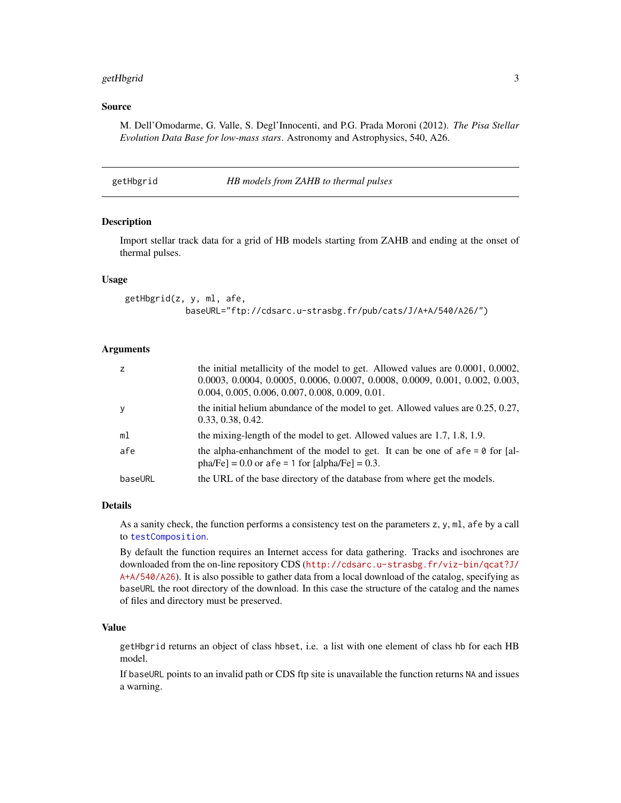#### <span id="page-2-0"></span>getHbgrid 3

#### Source

M. Dell'Omodarme, G. Valle, S. Degl'Innocenti, and P.G. Prada Moroni (2012). *The Pisa Stellar Evolution Data Base for low-mass stars*. Astronomy and Astrophysics, 540, A26.

<span id="page-2-1"></span>getHbgrid *HB models from ZAHB to thermal pulses*

#### Description

Import stellar track data for a grid of HB models starting from ZAHB and ending at the onset of thermal pulses.

## Usage

getHbgrid(z, y, ml, afe, baseURL="ftp://cdsarc.u-strasbg.fr/pub/cats/J/A+A/540/A26/")

### Arguments

| z              | the initial metallicity of the model to get. Allowed values are $0.0001$ , $0.0002$ ,<br>0.0003, 0.0004, 0.0005, 0.0006, 0.0007, 0.0008, 0.0009, 0.001, 0.002, 0.003,<br>$0.004, 0.005, 0.006, 0.007, 0.008, 0.009, 0.01.$ |
|----------------|----------------------------------------------------------------------------------------------------------------------------------------------------------------------------------------------------------------------------|
| У              | the initial helium abundance of the model to get. Allowed values are $0.25$ , $0.27$ ,<br>0.33, 0.38, 0.42.                                                                                                                |
| m <sub>1</sub> | the mixing-length of the model to get. Allowed values are 1.7, 1.8, 1.9.                                                                                                                                                   |
| afe            | the alpha-enhanchment of the model to get. It can be one of $afe = 0$ for [al-<br>pha/Fe] = 0.0 or afe = 1 for [alpha/Fe] = 0.3.                                                                                           |
| baseURL        | the URL of the base directory of the database from where get the models.                                                                                                                                                   |

#### Details

As a sanity check, the function performs a consistency test on the parameters z, y, ml, afe by a call to [testComposition](#page-20-1).

By default the function requires an Internet access for data gathering. Tracks and isochrones are downloaded from the on-line repository CDS ([http://cdsarc.u-strasbg.fr/viz-bin/qcat?J/](http://cdsarc.u-strasbg.fr/viz-bin/qcat?J/A+A/540/A26) [A+A/540/A26](http://cdsarc.u-strasbg.fr/viz-bin/qcat?J/A+A/540/A26)). It is also possible to gather data from a local download of the catalog, specifying as baseURL the root directory of the download. In this case the structure of the catalog and the names of files and directory must be preserved.

## Value

getHbgrid returns an object of class hbset, i.e. a list with one element of class hb for each HB model.

If baseURL points to an invalid path or CDS ftp site is unavailable the function returns NA and issues a warning.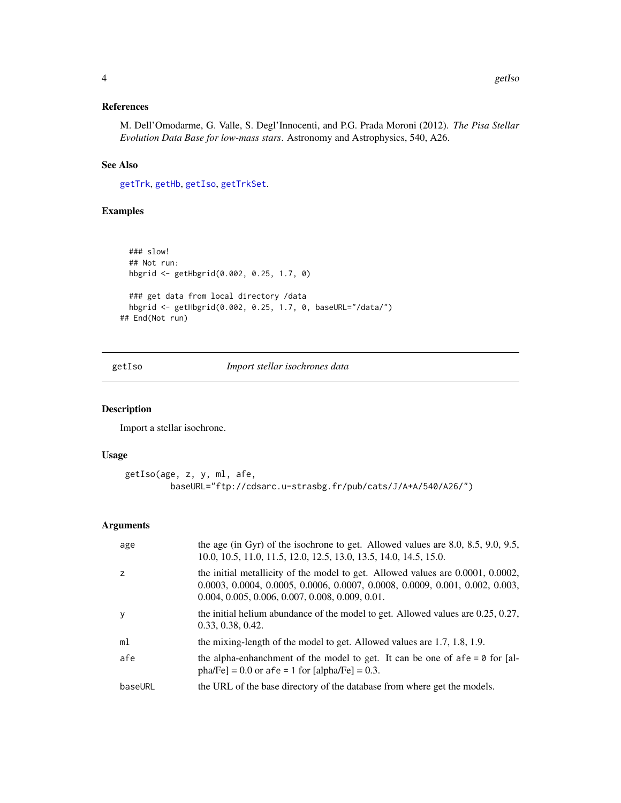## <span id="page-3-0"></span>References

M. Dell'Omodarme, G. Valle, S. Degl'Innocenti, and P.G. Prada Moroni (2012). *The Pisa Stellar Evolution Data Base for low-mass stars*. Astronomy and Astrophysics, 540, A26.

## See Also

[getTrk](#page-5-1), [getHb](#page-5-2), [getIso](#page-3-1), [getTrkSet](#page-7-1).

## Examples

```
### slow!
 ## Not run:
 hbgrid <- getHbgrid(0.002, 0.25, 1.7, 0)
 ### get data from local directory /data
 hbgrid <- getHbgrid(0.002, 0.25, 1.7, 0, baseURL="/data/")
## End(Not run)
```
<span id="page-3-1"></span>getIso *Import stellar isochrones data*

#### Description

Import a stellar isochrone.

#### Usage

```
getIso(age, z, y, ml, afe,
         baseURL="ftp://cdsarc.u-strasbg.fr/pub/cats/J/A+A/540/A26/")
```

| age     | the age (in Gyr) of the isochrone to get. Allowed values are $8.0, 8.5, 9.0, 9.5,$<br>10.0, 10.5, 11.0, 11.5, 12.0, 12.5, 13.0, 13.5, 14.0, 14.5, 15.0.                                                              |
|---------|----------------------------------------------------------------------------------------------------------------------------------------------------------------------------------------------------------------------|
| 7       | the initial metallicity of the model to get. Allowed values are 0.0001, 0.0002,<br>0.0003, 0.0004, 0.0005, 0.0006, 0.0007, 0.0008, 0.0009, 0.001, 0.002, 0.003,<br>$0.004, 0.005, 0.006, 0.007, 0.008, 0.009, 0.01.$ |
|         | the initial helium abundance of the model to get. Allowed values are $0.25$ , $0.27$ ,<br>0.33, 0.38, 0.42.                                                                                                          |
| ml      | the mixing-length of the model to get. Allowed values are 1.7, 1.8, 1.9.                                                                                                                                             |
| afe     | the alpha-enhanchment of the model to get. It can be one of $afe = 0$ for [al-<br>pha/Fe] = $0.0$ or afe = 1 for [alpha/Fe] = $0.3$ .                                                                                |
| baseURL | the URL of the base directory of the database from where get the models.                                                                                                                                             |
|         |                                                                                                                                                                                                                      |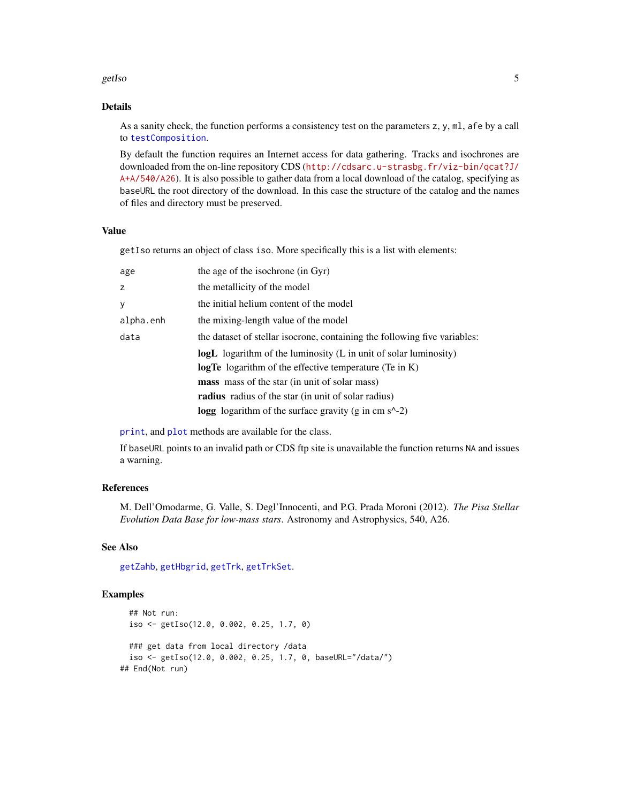#### <span id="page-4-0"></span>getIso 5

## Details

As a sanity check, the function performs a consistency test on the parameters z, y, ml, afe by a call to [testComposition](#page-20-1).

By default the function requires an Internet access for data gathering. Tracks and isochrones are downloaded from the on-line repository CDS ([http://cdsarc.u-strasbg.fr/viz-bin/qcat?J/](http://cdsarc.u-strasbg.fr/viz-bin/qcat?J/A+A/540/A26) [A+A/540/A26](http://cdsarc.u-strasbg.fr/viz-bin/qcat?J/A+A/540/A26)). It is also possible to gather data from a local download of the catalog, specifying as baseURL the root directory of the download. In this case the structure of the catalog and the names of files and directory must be preserved.

### Value

getIso returns an object of class iso. More specifically this is a list with elements:

| age       | the age of the isochrone (in Gyr)                                         |
|-----------|---------------------------------------------------------------------------|
| Z         | the metallicity of the model                                              |
| У         | the initial helium content of the model                                   |
| alpha.enh | the mixing-length value of the model                                      |
| data      | the dataset of stellar isocrone, containing the following five variables: |
|           | <b>logL</b> logarithm of the luminosity (L in unit of solar luminosity)   |
|           | <b>logTe</b> logarithm of the effective temperature (Te in K)             |
|           | <b>mass</b> mass of the star (in unit of solar mass)                      |
|           | radius radius of the star (in unit of solar radius)                       |
|           | <b>logg</b> logarithm of the surface gravity (g in cm $s^2$ -2)           |

[print](#page-0-0), and [plot](#page-0-0) methods are available for the class.

If baseURL points to an invalid path or CDS ftp site is unavailable the function returns NA and issues a warning.

## References

M. Dell'Omodarme, G. Valle, S. Degl'Innocenti, and P.G. Prada Moroni (2012). *The Pisa Stellar Evolution Data Base for low-mass stars*. Astronomy and Astrophysics, 540, A26.

## See Also

[getZahb](#page-9-1), [getHbgrid](#page-2-1), [getTrk](#page-5-1), [getTrkSet](#page-7-1).

#### Examples

```
## Not run:
 iso <- getIso(12.0, 0.002, 0.25, 1.7, 0)
 ### get data from local directory /data
 iso <- getIso(12.0, 0.002, 0.25, 1.7, 0, baseURL="/data/")
## End(Not run)
```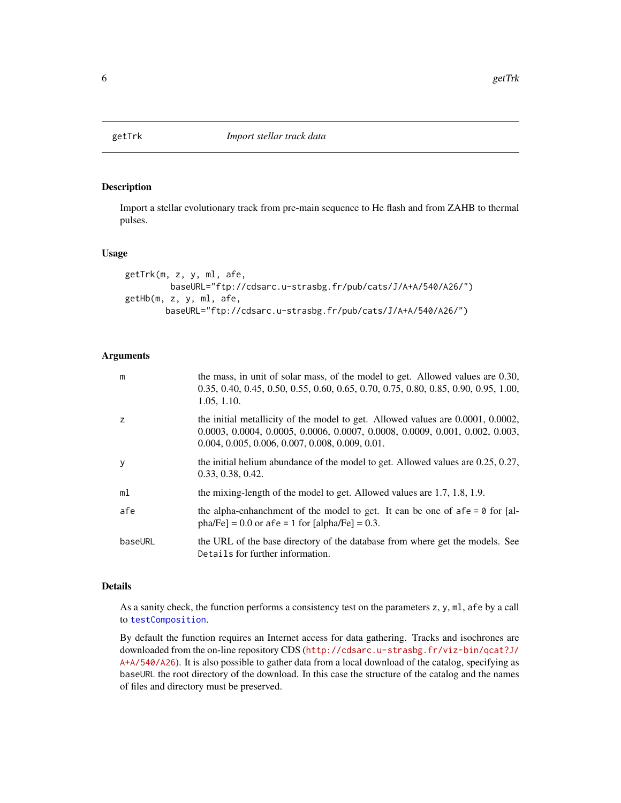<span id="page-5-1"></span><span id="page-5-0"></span>

#### <span id="page-5-2"></span>Description

Import a stellar evolutionary track from pre-main sequence to He flash and from ZAHB to thermal pulses.

## Usage

```
getTrk(m, z, y, ml, afe,
        baseURL="ftp://cdsarc.u-strasbg.fr/pub/cats/J/A+A/540/A26/")
getHb(m, z, y, ml, afe,
       baseURL="ftp://cdsarc.u-strasbg.fr/pub/cats/J/A+A/540/A26/")
```
#### Arguments

| m       | the mass, in unit of solar mass, of the model to get. Allowed values are 0.30,<br>0.35, 0.40, 0.45, 0.50, 0.55, 0.60, 0.65, 0.70, 0.75, 0.80, 0.85, 0.90, 0.95, 1.00,<br>1.05, 1.10.                                         |
|---------|------------------------------------------------------------------------------------------------------------------------------------------------------------------------------------------------------------------------------|
| z       | the initial metallicity of the model to get. Allowed values are $0.0001$ , $0.0002$ ,<br>$0.0003, 0.0004, 0.0005, 0.0006, 0.0007, 0.0008, 0.0009, 0.001, 0.002, 0.003,$<br>$0.004, 0.005, 0.006, 0.007, 0.008, 0.009, 0.01.$ |
| y       | the initial helium abundance of the model to get. Allowed values are $0.25$ , $0.27$ ,<br>0.33, 0.38, 0.42.                                                                                                                  |
| ml      | the mixing-length of the model to get. Allowed values are 1.7, 1.8, 1.9.                                                                                                                                                     |
| afe     | the alpha-enhanchment of the model to get. It can be one of $afe = 0$ for [al-<br>pha/Fe] = $0.0$ or afe = 1 for [alpha/Fe] = $0.3$ .                                                                                        |
| baseURL | the URL of the base directory of the database from where get the models. See<br>Details for further information.                                                                                                             |

## Details

As a sanity check, the function performs a consistency test on the parameters z, y, ml, afe by a call to [testComposition](#page-20-1).

By default the function requires an Internet access for data gathering. Tracks and isochrones are downloaded from the on-line repository CDS ([http://cdsarc.u-strasbg.fr/viz-bin/qcat?J/](http://cdsarc.u-strasbg.fr/viz-bin/qcat?J/A+A/540/A26) [A+A/540/A26](http://cdsarc.u-strasbg.fr/viz-bin/qcat?J/A+A/540/A26)). It is also possible to gather data from a local download of the catalog, specifying as baseURL the root directory of the download. In this case the structure of the catalog and the names of files and directory must be preserved.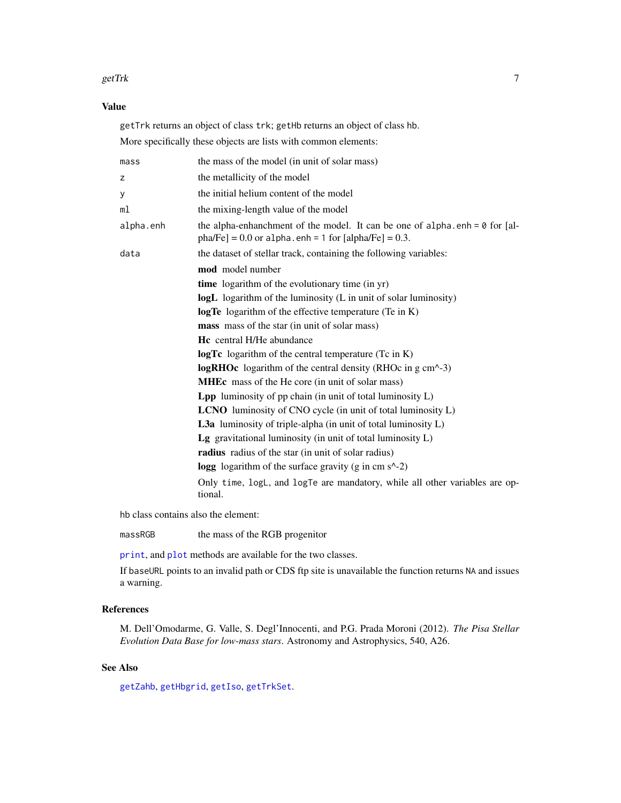#### <span id="page-6-0"></span>getTrk 7

## Value

getTrk returns an object of class trk; getHb returns an object of class hb. More specifically these objects are lists with common elements:

| the mass of the model (in unit of solar mass)                                                                                                   |
|-------------------------------------------------------------------------------------------------------------------------------------------------|
| the metallicity of the model                                                                                                                    |
| the initial helium content of the model                                                                                                         |
| the mixing-length value of the model                                                                                                            |
| the alpha-enhanchment of the model. It can be one of alpha.enh = $\theta$ for [al-<br>$pha/Fe] = 0.0$ or alpha.enh = 1 for $[alpha/Fe] = 0.3$ . |
| the dataset of stellar track, containing the following variables:                                                                               |
| mod model number                                                                                                                                |
| time logarithm of the evolutionary time (in yr)                                                                                                 |
| logL logarithm of the luminosity (L in unit of solar luminosity)                                                                                |
| <b>logTe</b> logarithm of the effective temperature (Te in K)                                                                                   |
| mass mass of the star (in unit of solar mass)                                                                                                   |
| <b>Hc</b> central H/He abundance                                                                                                                |
| <b>logTc</b> logarithm of the central temperature $(Tc$ in K)                                                                                   |
| <b>logRHOc</b> logarithm of the central density (RHOc in $g$ cm <sup><math>\sim</math></sup> -3)                                                |
| <b>MHEc</b> mass of the He core (in unit of solar mass)                                                                                         |
| <b>Lpp</b> luminosity of pp chain (in unit of total luminosity $L$ )                                                                            |
| <b>LCNO</b> luminosity of CNO cycle (in unit of total luminosity L)                                                                             |
| <b>L3a</b> luminosity of triple-alpha (in unit of total luminosity $L$ )                                                                        |
| Lg gravitational luminosity (in unit of total luminosity $L$ )                                                                                  |
| radius radius of the star (in unit of solar radius)                                                                                             |
| logg logarithm of the surface gravity (g in cm $s^2$ -2)                                                                                        |
| Only time, logL, and logTe are mandatory, while all other variables are op-<br>tional.                                                          |
|                                                                                                                                                 |

hb class contains also the element:

massRGB the mass of the RGB progenitor

[print](#page-0-0), and [plot](#page-0-0) methods are available for the two classes.

If baseURL points to an invalid path or CDS ftp site is unavailable the function returns NA and issues a warning.

## References

M. Dell'Omodarme, G. Valle, S. Degl'Innocenti, and P.G. Prada Moroni (2012). *The Pisa Stellar Evolution Data Base for low-mass stars*. Astronomy and Astrophysics, 540, A26.

## See Also

[getZahb](#page-9-1), [getHbgrid](#page-2-1), [getIso](#page-3-1), [getTrkSet](#page-7-1).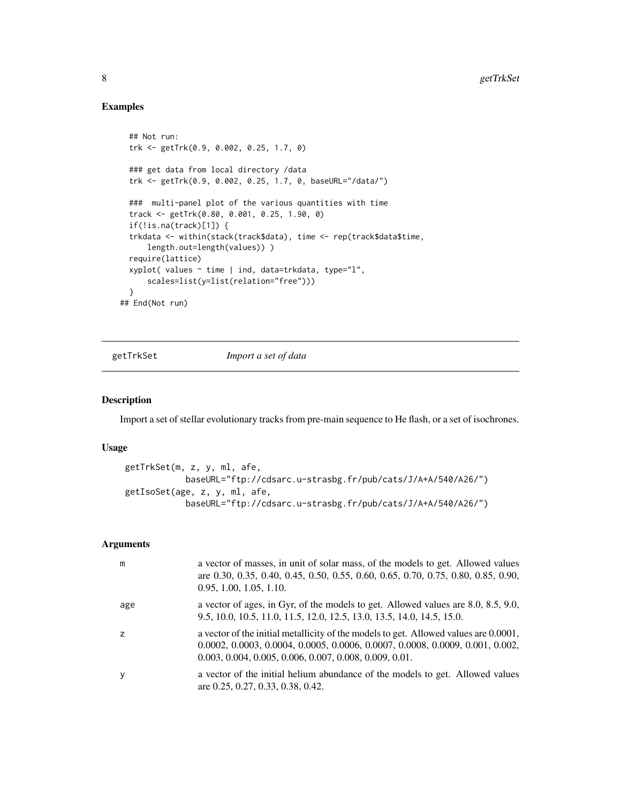## Examples

```
## Not run:
 trk <- getTrk(0.9, 0.002, 0.25, 1.7, 0)
 ### get data from local directory /data
 trk <- getTrk(0.9, 0.002, 0.25, 1.7, 0, baseURL="/data/")
 ### multi-panel plot of the various quantities with time
 track <- getTrk(0.80, 0.001, 0.25, 1.90, 0)
 if(!is.na(track)[1]) {
 trkdata <- within(stack(track$data), time <- rep(track$data$time,
     length.out=length(values)) )
 require(lattice)
 xyplot( values \sim time | ind, data=trkdata, type="l",
     scales=list(y=list(relation="free")))
 }
## End(Not run)
```
<span id="page-7-1"></span>

getTrkSet *Import a set of data*

#### Description

Import a set of stellar evolutionary tracks from pre-main sequence to He flash, or a set of isochrones.

## Usage

```
getTrkSet(m, z, y, ml, afe,
           baseURL="ftp://cdsarc.u-strasbg.fr/pub/cats/J/A+A/540/A26/")
getIsoSet(age, z, y, ml, afe,
           baseURL="ftp://cdsarc.u-strasbg.fr/pub/cats/J/A+A/540/A26/")
```

| m   | a vector of masses, in unit of solar mass, of the models to get. Allowed values<br>are 0.30, 0.35, 0.40, 0.45, 0.50, 0.55, 0.60, 0.65, 0.70, 0.75, 0.80, 0.85, 0.90,<br>0.95, 1.00, 1.05, 1.10.                                     |
|-----|-------------------------------------------------------------------------------------------------------------------------------------------------------------------------------------------------------------------------------------|
| age | a vector of ages, in Gyr, of the models to get. Allowed values are 8.0, 8.5, 9.0,<br>9.5, 10.0, 10.5, 11.0, 11.5, 12.0, 12.5, 13.0, 13.5, 14.0, 14.5, 15.0.                                                                         |
|     | a vector of the initial metallicity of the models to get. Allowed values are 0.0001,<br>$0.0002, 0.0003, 0.0004, 0.0005, 0.0006, 0.0007, 0.0008, 0.0009, 0.001, 0.002,$<br>$0.003, 0.004, 0.005, 0.006, 0.007, 0.008, 0.009, 0.01.$ |
| y   | a vector of the initial helium abundance of the models to get. Allowed values<br>are 0.25, 0.27, 0.33, 0.38, 0.42.                                                                                                                  |

<span id="page-7-0"></span>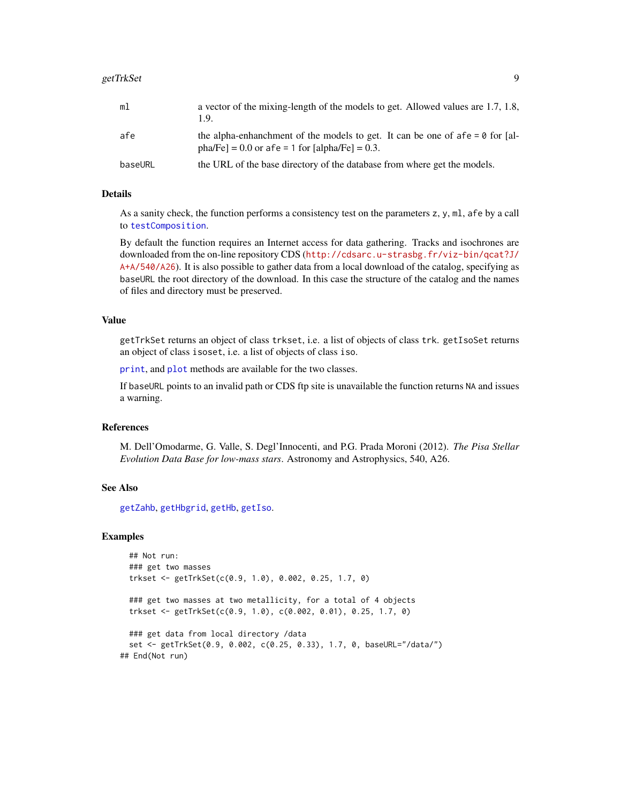<span id="page-8-0"></span>

| ml      | a vector of the mixing-length of the models to get. Allowed values are 1.7, 1.8,<br>1.9.                                               |
|---------|----------------------------------------------------------------------------------------------------------------------------------------|
| afe     | the alpha-enhanchment of the models to get. It can be one of $afe = 0$ for [al-<br>pha/Fe] = $0.0$ or afe = 1 for [alpha/Fe] = $0.3$ . |
| baseURL | the URL of the base directory of the database from where get the models.                                                               |

#### Details

As a sanity check, the function performs a consistency test on the parameters  $z$ ,  $y$ ,  $m$ ,  $a$ fe by a call to [testComposition](#page-20-1).

By default the function requires an Internet access for data gathering. Tracks and isochrones are downloaded from the on-line repository CDS ([http://cdsarc.u-strasbg.fr/viz-bin/qcat?J/](http://cdsarc.u-strasbg.fr/viz-bin/qcat?J/A+A/540/A26) [A+A/540/A26](http://cdsarc.u-strasbg.fr/viz-bin/qcat?J/A+A/540/A26)). It is also possible to gather data from a local download of the catalog, specifying as baseURL the root directory of the download. In this case the structure of the catalog and the names of files and directory must be preserved.

## Value

getTrkSet returns an object of class trkset, i.e. a list of objects of class trk. getIsoSet returns an object of class isoset, i.e. a list of objects of class iso.

[print](#page-0-0), and [plot](#page-0-0) methods are available for the two classes.

If baseURL points to an invalid path or CDS ftp site is unavailable the function returns NA and issues a warning.

## References

M. Dell'Omodarme, G. Valle, S. Degl'Innocenti, and P.G. Prada Moroni (2012). *The Pisa Stellar Evolution Data Base for low-mass stars*. Astronomy and Astrophysics, 540, A26.

#### See Also

[getZahb](#page-9-1), [getHbgrid](#page-2-1), [getHb](#page-5-2), [getIso](#page-3-1).

#### Examples

```
## Not run:
 ### get two masses
 trkset <- getTrkSet(c(0.9, 1.0), 0.002, 0.25, 1.7, 0)
 ### get two masses at two metallicity, for a total of 4 objects
 trkset <- getTrkSet(c(0.9, 1.0), c(0.002, 0.01), 0.25, 1.7, 0)
 ### get data from local directory /data
 set <- getTrkSet(0.9, 0.002, c(0.25, 0.33), 1.7, 0, baseURL="/data/")
## End(Not run)
```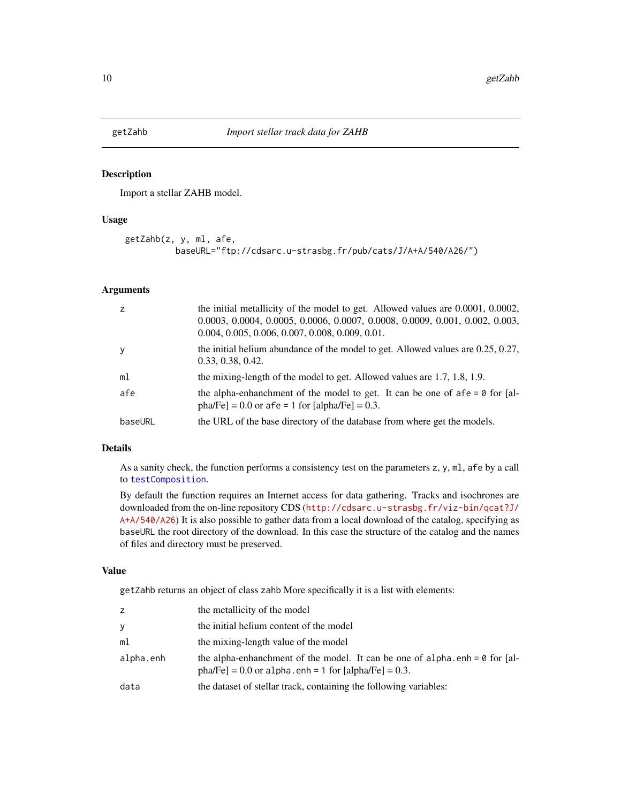<span id="page-9-1"></span><span id="page-9-0"></span>

#### Description

Import a stellar ZAHB model.

#### Usage

```
getZahb(z, y, ml, afe,
         baseURL="ftp://cdsarc.u-strasbg.fr/pub/cats/J/A+A/540/A26/")
```
#### Arguments

| z              | the initial metallicity of the model to get. Allowed values are $0.0001$ , $0.0002$ ,<br>0.0003, 0.0004, 0.0005, 0.0006, 0.0007, 0.0008, 0.0009, 0.001, 0.002, 0.003,<br>$0.004, 0.005, 0.006, 0.007, 0.008, 0.009, 0.01.$ |
|----------------|----------------------------------------------------------------------------------------------------------------------------------------------------------------------------------------------------------------------------|
| y.             | the initial helium abundance of the model to get. Allowed values are $0.25, 0.27$ ,<br>0.33, 0.38, 0.42.                                                                                                                   |
| m <sub>1</sub> | the mixing-length of the model to get. Allowed values are 1.7, 1.8, 1.9.                                                                                                                                                   |
| afe            | the alpha-enhanchment of the model to get. It can be one of $afe = 0$ for [al-<br>pha/Fe] = 0.0 or afe = 1 for [alpha/Fe] = 0.3.                                                                                           |
| baseURL        | the URL of the base directory of the database from where get the models.                                                                                                                                                   |

## Details

As a sanity check, the function performs a consistency test on the parameters z, y, ml, afe by a call to [testComposition](#page-20-1).

By default the function requires an Internet access for data gathering. Tracks and isochrones are downloaded from the on-line repository CDS ([http://cdsarc.u-strasbg.fr/viz-bin/qcat?J/](http://cdsarc.u-strasbg.fr/viz-bin/qcat?J/A+A/540/A26) [A+A/540/A26](http://cdsarc.u-strasbg.fr/viz-bin/qcat?J/A+A/540/A26)) It is also possible to gather data from a local download of the catalog, specifying as baseURL the root directory of the download. In this case the structure of the catalog and the names of files and directory must be preserved.

## Value

getZahb returns an object of class zahb More specifically it is a list with elements:

| z         | the metallicity of the model                                                                                                                  |
|-----------|-----------------------------------------------------------------------------------------------------------------------------------------------|
| У         | the initial helium content of the model                                                                                                       |
| ml        | the mixing-length value of the model                                                                                                          |
| alpha.enh | the alpha-enhanchment of the model. It can be one of alpha.enh = $\theta$ for [al-<br>$pha/Fe$ ] = 0.0 or alpha.enh = 1 for [alpha/Fe] = 0.3. |
| data      | the dataset of stellar track, containing the following variables:                                                                             |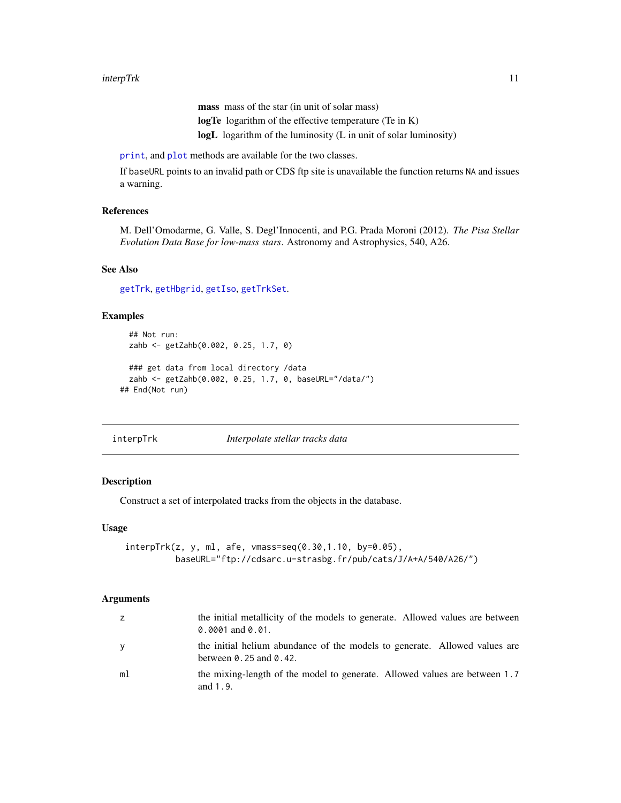mass mass of the star (in unit of solar mass) logTe logarithm of the effective temperature (Te in K) logL logarithm of the luminosity (L in unit of solar luminosity)

<span id="page-10-0"></span>[print](#page-0-0), and [plot](#page-0-0) methods are available for the two classes.

If baseURL points to an invalid path or CDS ftp site is unavailable the function returns NA and issues a warning.

## References

M. Dell'Omodarme, G. Valle, S. Degl'Innocenti, and P.G. Prada Moroni (2012). *The Pisa Stellar Evolution Data Base for low-mass stars*. Astronomy and Astrophysics, 540, A26.

#### See Also

[getTrk](#page-5-1), [getHbgrid](#page-2-1), [getIso](#page-3-1), [getTrkSet](#page-7-1).

#### Examples

```
## Not run:
 zahb <- getZahb(0.002, 0.25, 1.7, 0)
 ### get data from local directory /data
 zahb <- getZahb(0.002, 0.25, 1.7, 0, baseURL="/data/")
## End(Not run)
```
interpTrk *Interpolate stellar tracks data*

#### Description

Construct a set of interpolated tracks from the objects in the database.

#### Usage

```
interpTrk(z, y, ml, afe, vmass=seq(0.30,1.10, by=0.05),
          baseURL="ftp://cdsarc.u-strasbg.fr/pub/cats/J/A+A/540/A26/")
```

| Z. | the initial metallicity of the models to generate. Allowed values are between<br>$0.0001$ and $0.01$ .                 |
|----|------------------------------------------------------------------------------------------------------------------------|
| V  | the initial helium abundance of the models to generate. Allowed values are<br>between $\theta$ . 25 and $\theta$ . 42. |
| ml | the mixing-length of the model to generate. Allowed values are between 1.7<br>and 1.9.                                 |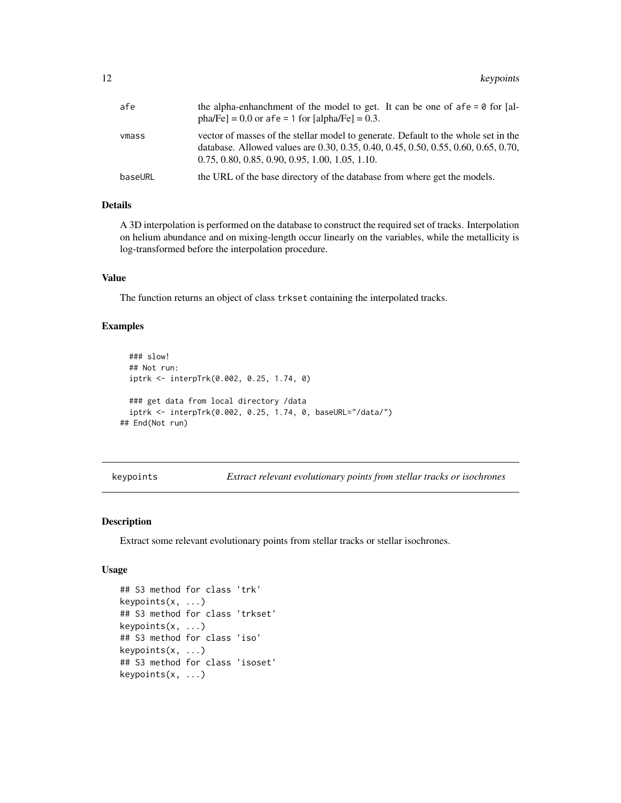<span id="page-11-0"></span>

| afe     | the alpha-enhanchment of the model to get. It can be one of $afe = 0$ for [al-<br>pha/Fe] = 0.0 or afe = 1 for [alpha/Fe] = 0.3.                                                                                              |
|---------|-------------------------------------------------------------------------------------------------------------------------------------------------------------------------------------------------------------------------------|
| ymass   | vector of masses of the stellar model to generate. Default to the whole set in the<br>database. Allowed values are 0.30, 0.35, 0.40, 0.45, 0.50, 0.55, 0.60, 0.65, 0.70,<br>$0.75, 0.80, 0.85, 0.90, 0.95, 1.00, 1.05, 1.10.$ |
| baseURL | the URL of the base directory of the database from where get the models.                                                                                                                                                      |

#### Details

A 3D interpolation is performed on the database to construct the required set of tracks. Interpolation on helium abundance and on mixing-length occur linearly on the variables, while the metallicity is log-transformed before the interpolation procedure.

#### Value

The function returns an object of class trkset containing the interpolated tracks.

#### Examples

```
### slow!
 ## Not run:
 iptrk <- interpTrk(0.002, 0.25, 1.74, 0)
 ### get data from local directory /data
  iptrk <- interpTrk(0.002, 0.25, 1.74, 0, baseURL="/data/")
## End(Not run)
```
keypoints *Extract relevant evolutionary points from stellar tracks or isochrones*

#### Description

Extract some relevant evolutionary points from stellar tracks or stellar isochrones.

#### Usage

```
## S3 method for class 'trk'
keypoints(x, ...)
## S3 method for class 'trkset'
keypoints(x, ...)
## S3 method for class 'iso'
keypoints(x, ...)
## S3 method for class 'isoset'
keypoints(x, ...)
```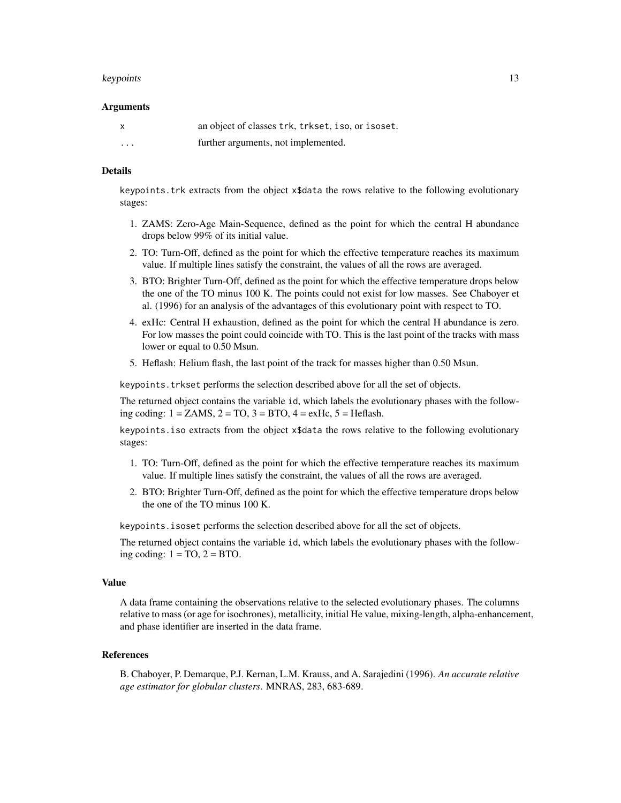#### keypoints and the set of the set of the set of the set of the set of the set of the set of the set of the set of the set of the set of the set of the set of the set of the set of the set of the set of the set of the set of

#### Arguments

| x        | an object of classes trk, trkset, iso, or isoset. |
|----------|---------------------------------------------------|
| $\cdots$ | further arguments, not implemented.               |

#### Details

keypoints.trk extracts from the object x\$data the rows relative to the following evolutionary stages:

- 1. ZAMS: Zero-Age Main-Sequence, defined as the point for which the central H abundance drops below 99% of its initial value.
- 2. TO: Turn-Off, defined as the point for which the effective temperature reaches its maximum value. If multiple lines satisfy the constraint, the values of all the rows are averaged.
- 3. BTO: Brighter Turn-Off, defined as the point for which the effective temperature drops below the one of the TO minus 100 K. The points could not exist for low masses. See Chaboyer et al. (1996) for an analysis of the advantages of this evolutionary point with respect to TO.
- 4. exHc: Central H exhaustion, defined as the point for which the central H abundance is zero. For low masses the point could coincide with TO. This is the last point of the tracks with mass lower or equal to 0.50 Msun.
- 5. Heflash: Helium flash, the last point of the track for masses higher than 0.50 Msun.

keypoints. trkset performs the selection described above for all the set of objects.

The returned object contains the variable id, which labels the evolutionary phases with the following coding:  $1 = ZAMS$ ,  $2 = TO$ ,  $3 = BTO$ ,  $4 = ex$ Hc,  $5 = He$ flash.

keypoints.iso extracts from the object x\$data the rows relative to the following evolutionary stages:

- 1. TO: Turn-Off, defined as the point for which the effective temperature reaches its maximum value. If multiple lines satisfy the constraint, the values of all the rows are averaged.
- 2. BTO: Brighter Turn-Off, defined as the point for which the effective temperature drops below the one of the TO minus 100 K.

keypoints.isoset performs the selection described above for all the set of objects.

The returned object contains the variable id, which labels the evolutionary phases with the following coding:  $1 = TO$ ,  $2 = BTO$ .

#### Value

A data frame containing the observations relative to the selected evolutionary phases. The columns relative to mass (or age for isochrones), metallicity, initial He value, mixing-length, alpha-enhancement, and phase identifier are inserted in the data frame.

#### References

B. Chaboyer, P. Demarque, P.J. Kernan, L.M. Krauss, and A. Sarajedini (1996). *An accurate relative age estimator for globular clusters*. MNRAS, 283, 683-689.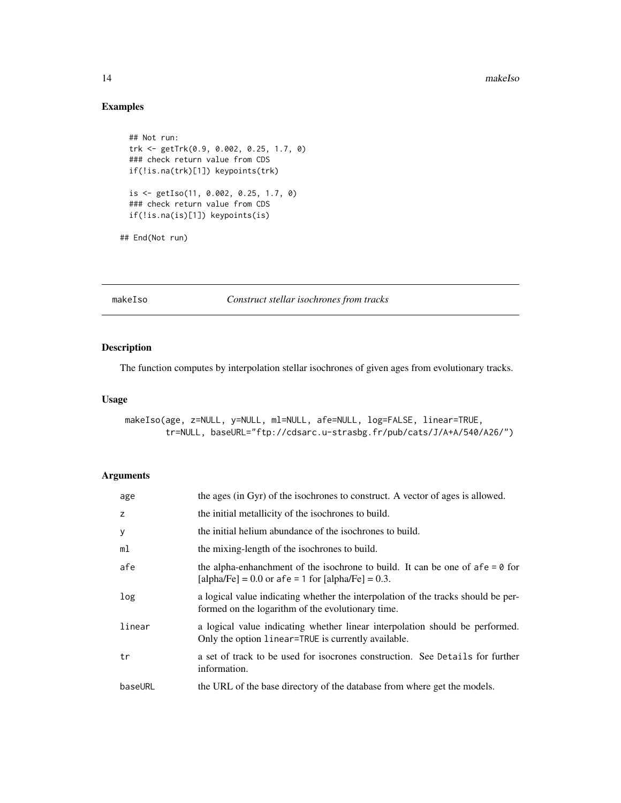#### 14 makeIso

## Examples

```
## Not run:
trk <- getTrk(0.9, 0.002, 0.25, 1.7, 0)
### check return value from CDS
if(!is.na(trk)[1]) keypoints(trk)
is <- getIso(11, 0.002, 0.25, 1.7, 0)
### check return value from CDS
if(!is.na(is)[1]) keypoints(is)
```
## End(Not run)

makeIso *Construct stellar isochrones from tracks*

## Description

The function computes by interpolation stellar isochrones of given ages from evolutionary tracks.

#### Usage

```
makeIso(age, z=NULL, y=NULL, ml=NULL, afe=NULL, log=FALSE, linear=TRUE,
        tr=NULL, baseURL="ftp://cdsarc.u-strasbg.fr/pub/cats/J/A+A/540/A26/")
```

| age     | the ages (in Gyr) of the isochrones to construct. A vector of ages is allowed.                                                                 |
|---------|------------------------------------------------------------------------------------------------------------------------------------------------|
| z       | the initial metallicity of the isochrones to build.                                                                                            |
| y       | the initial helium abundance of the isochrones to build.                                                                                       |
| ml      | the mixing-length of the isochrones to build.                                                                                                  |
| afe     | the alpha-enhanchment of the isochrone to build. It can be one of afe = $\theta$ for<br>[alpha/Fe] = $0.0$ or afe = 1 for [alpha/Fe] = $0.3$ . |
| log     | a logical value indicating whether the interpolation of the tracks should be per-<br>formed on the logarithm of the evolutionary time.         |
| linear  | a logical value indicating whether linear interpolation should be performed.<br>Only the option linear=TRUE is currently available.            |
| tr      | a set of track to be used for isocrones construction. See Details for further<br>information.                                                  |
| baseURL | the URL of the base directory of the database from where get the models.                                                                       |

<span id="page-13-0"></span>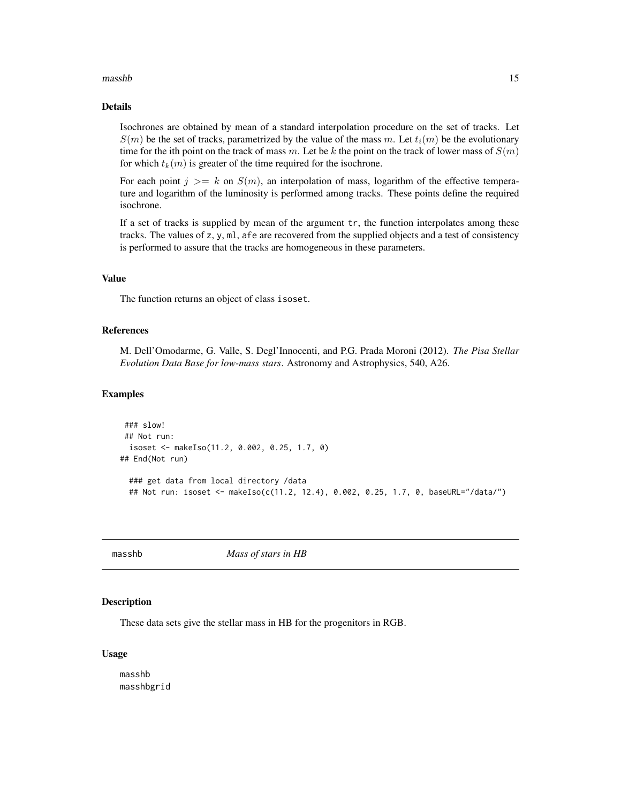#### <span id="page-14-0"></span>masshb 15

## Details

Isochrones are obtained by mean of a standard interpolation procedure on the set of tracks. Let  $S(m)$  be the set of tracks, parametrized by the value of the mass m. Let  $t_i(m)$  be the evolutionary time for the ith point on the track of mass m. Let be k the point on the track of lower mass of  $S(m)$ for which  $t_k(m)$  is greater of the time required for the isochrone.

For each point  $j \geq k$  on  $S(m)$ , an interpolation of mass, logarithm of the effective temperature and logarithm of the luminosity is performed among tracks. These points define the required isochrone.

If a set of tracks is supplied by mean of the argument tr, the function interpolates among these tracks. The values of z, y, ml, afe are recovered from the supplied objects and a test of consistency is performed to assure that the tracks are homogeneous in these parameters.

## Value

The function returns an object of class isoset.

## References

M. Dell'Omodarme, G. Valle, S. Degl'Innocenti, and P.G. Prada Moroni (2012). *The Pisa Stellar Evolution Data Base for low-mass stars*. Astronomy and Astrophysics, 540, A26.

#### Examples

```
### slow!
## Not run:
 isoset <- makeIso(11.2, 0.002, 0.25, 1.7, 0)
## End(Not run)
 ### get data from local directory /data
 ## Not run: isoset <- makeIso(c(11.2, 12.4), 0.002, 0.25, 1.7, 0, baseURL="/data/")
```
masshb *Mass of stars in HB*

#### **Description**

These data sets give the stellar mass in HB for the progenitors in RGB.

#### Usage

masshb masshbgrid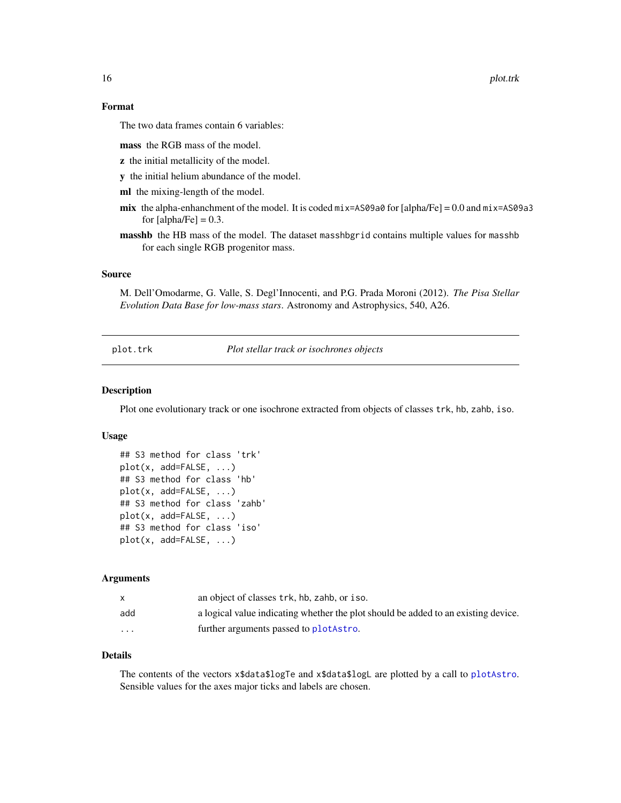16 plot.trk

## Format

The two data frames contain 6 variables:

mass the RGB mass of the model.

- z the initial metallicity of the model.
- y the initial helium abundance of the model.

ml the mixing-length of the model.

- mix the alpha-enhanchment of the model. It is coded  $mix=AS09a0$  for [alpha/Fe] = 0.0 and  $mix=AS09a3$ for  $[a]$ <sub>pha</sub> $[Fe] = 0.3$ .
- masshb the HB mass of the model. The dataset masshbgrid contains multiple values for masshb for each single RGB progenitor mass.

#### Source

M. Dell'Omodarme, G. Valle, S. Degl'Innocenti, and P.G. Prada Moroni (2012). *The Pisa Stellar Evolution Data Base for low-mass stars*. Astronomy and Astrophysics, 540, A26.

<span id="page-15-1"></span>plot.trk *Plot stellar track or isochrones objects*

#### Description

Plot one evolutionary track or one isochrone extracted from objects of classes trk, hb, zahb, iso.

#### Usage

```
## S3 method for class 'trk'
plot(x, add=FALSE, ...)
## S3 method for class 'hb'
plot(x, add=FALSE, ...)
## S3 method for class 'zahb'
plot(x, add=FALSE, ...)
## S3 method for class 'iso'
plot(x, add=FALSE, ...)
```
#### Arguments

| X        | an object of classes trk, hb, zahb, or iso.                                        |
|----------|------------------------------------------------------------------------------------|
| add      | a logical value indicating whether the plot should be added to an existing device. |
| $\cdots$ | further arguments passed to plot Astro.                                            |

#### Details

The contents of the vectors x\$data\$logTe and x\$data\$logL are plotted by a call to [plotAstro](#page-17-1). Sensible values for the axes major ticks and labels are chosen.

<span id="page-15-0"></span>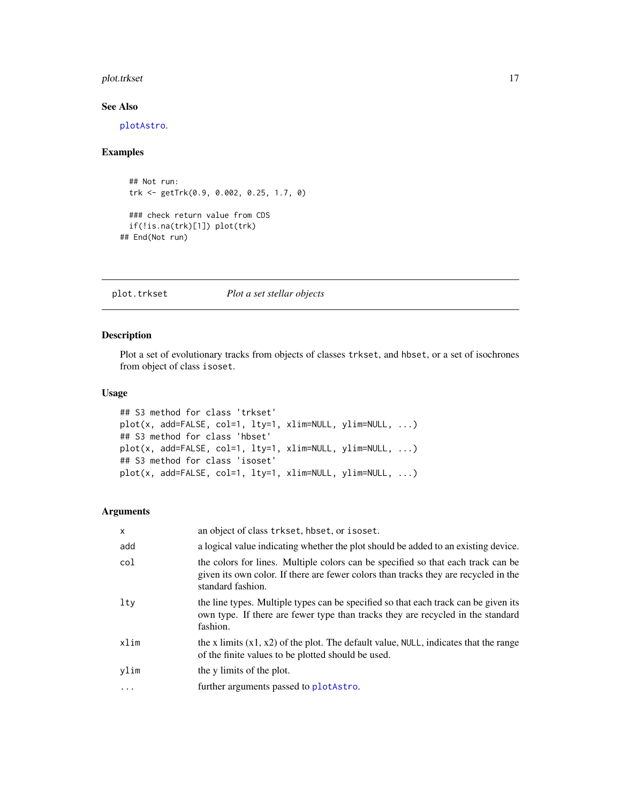#### <span id="page-16-0"></span>plot.trkset to the control of the control of the control of the control of the control of the control of the control of the control of the control of the control of the control of the control of the control of the control

## See Also

[plotAstro](#page-17-1).

#### Examples

```
## Not run:
 trk <- getTrk(0.9, 0.002, 0.25, 1.7, 0)
 ### check return value from CDS
 if(!is.na(trk)[1]) plot(trk)
## End(Not run)
```
<span id="page-16-1"></span>plot.trkset *Plot a set stellar objects*

## Description

Plot a set of evolutionary tracks from objects of classes trkset, and hbset, or a set of isochrones from object of class isoset.

## Usage

```
## S3 method for class 'trkset'
plot(x, add=FALSE, col=1, lty=1, xlim=NULL, ylim=NULL, ...)
## S3 method for class 'hbset'
plot(x, add=FALSE, col=1, lty=1, xlim=NULL, ylim=NULL, ...)
## S3 method for class 'isoset'
plot(x, add=FALSE, col=1, lty=1, xlim=NULL, ylim=NULL, ...)
```

| $\times$ | an object of class trkset, hbset, or isoset.                                                                                                                                                 |
|----------|----------------------------------------------------------------------------------------------------------------------------------------------------------------------------------------------|
| add      | a logical value indicating whether the plot should be added to an existing device.                                                                                                           |
| col      | the colors for lines. Multiple colors can be specified so that each track can be<br>given its own color. If there are fewer colors than tracks they are recycled in the<br>standard fashion. |
| lty      | the line types. Multiple types can be specified so that each track can be given its<br>own type. If there are fewer type than tracks they are recycled in the standard<br>fashion.           |
| xlim     | the x limits $(x1, x2)$ of the plot. The default value, NULL, indicates that the range<br>of the finite values to be plotted should be used.                                                 |
| ylim     | the y limits of the plot.                                                                                                                                                                    |
| .        | further arguments passed to plotAstro.                                                                                                                                                       |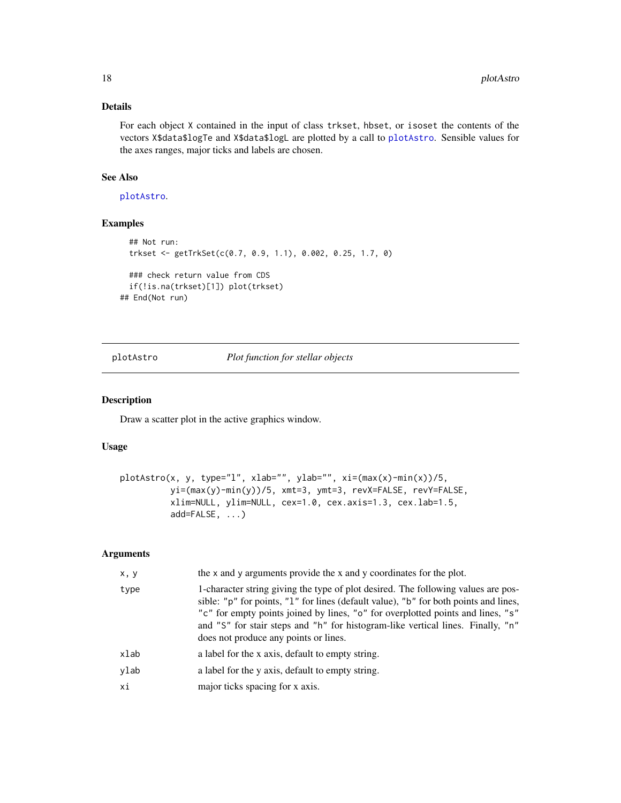## <span id="page-17-0"></span>Details

For each object X contained in the input of class trkset, hbset, or isoset the contents of the vectors X\$data\$logTe and X\$data\$logL are plotted by a call to [plotAstro](#page-17-1). Sensible values for the axes ranges, major ticks and labels are chosen.

#### See Also

[plotAstro](#page-17-1).

## Examples

```
## Not run:
 trkset <- getTrkSet(c(0.7, 0.9, 1.1), 0.002, 0.25, 1.7, 0)
 ### check return value from CDS
 if(!is.na(trkset)[1]) plot(trkset)
## End(Not run)
```
<span id="page-17-1"></span>plotAstro *Plot function for stellar objects*

### Description

Draw a scatter plot in the active graphics window.

#### Usage

```
plotAstro(x, y, type="l", xlab="", ylab="", xi=(max(x)-min(x))/5,
         yi=(max(y)-min(y))/5, xmt=3, ymt=3, revX=FALSE, revY=FALSE,
         xlim=NULL, ylim=NULL, cex=1.0, cex.axis=1.3, cex.lab=1.5,
         add=FALSE, ...)
```

| x, y | the x and y arguments provide the x and y coordinates for the plot.                                                                                                                                                                                                                                                                                                                      |
|------|------------------------------------------------------------------------------------------------------------------------------------------------------------------------------------------------------------------------------------------------------------------------------------------------------------------------------------------------------------------------------------------|
| type | 1-character string giving the type of plot desired. The following values are pos-<br>sible: "p" for points, "1" for lines (default value), "b" for both points and lines,<br>"c" for empty points joined by lines, "o" for overplotted points and lines, "s"<br>and "S" for stair steps and "h" for histogram-like vertical lines. Finally, "n"<br>does not produce any points or lines. |
| xlab | a label for the x axis, default to empty string.                                                                                                                                                                                                                                                                                                                                         |
| ylab | a label for the y axis, default to empty string.                                                                                                                                                                                                                                                                                                                                         |
| хi   | major ticks spacing for x axis.                                                                                                                                                                                                                                                                                                                                                          |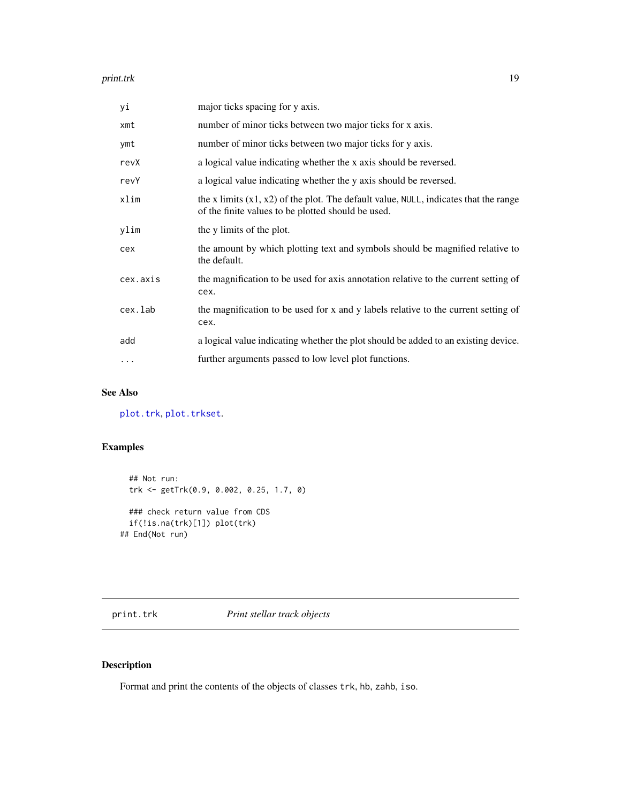#### <span id="page-18-0"></span>print.trk the contract of the contract of the contract of the contract of the contract of the contract of the contract of the contract of the contract of the contract of the contract of the contract of the contract of the

| уi       | major ticks spacing for y axis.                                                                                                              |
|----------|----------------------------------------------------------------------------------------------------------------------------------------------|
| xmt      | number of minor ticks between two major ticks for x axis.                                                                                    |
| ymt      | number of minor ticks between two major ticks for y axis.                                                                                    |
| revX     | a logical value indicating whether the x axis should be reversed.                                                                            |
| revY     | a logical value indicating whether the y axis should be reversed.                                                                            |
| xlim     | the x limits $(x1, x2)$ of the plot. The default value, NULL, indicates that the range<br>of the finite values to be plotted should be used. |
| ylim     | the y limits of the plot.                                                                                                                    |
| cex      | the amount by which plotting text and symbols should be magnified relative to<br>the default.                                                |
| cex.axis | the magnification to be used for axis annotation relative to the current setting of<br>cex.                                                  |
| cex.lab  | the magnification to be used for x and y labels relative to the current setting of<br>cex.                                                   |
| add      | a logical value indicating whether the plot should be added to an existing device.                                                           |
| $\cdots$ | further arguments passed to low level plot functions.                                                                                        |

## See Also

[plot.trk](#page-15-1), [plot.trkset](#page-16-1).

## Examples

```
## Not run:
  trk <- getTrk(0.9, 0.002, 0.25, 1.7, 0)
  ### check return value from CDS
  if(!is.na(trk)[1]) plot(trk)
## End(Not run)
```
print.trk *Print stellar track objects*

## Description

Format and print the contents of the objects of classes trk, hb, zahb, iso.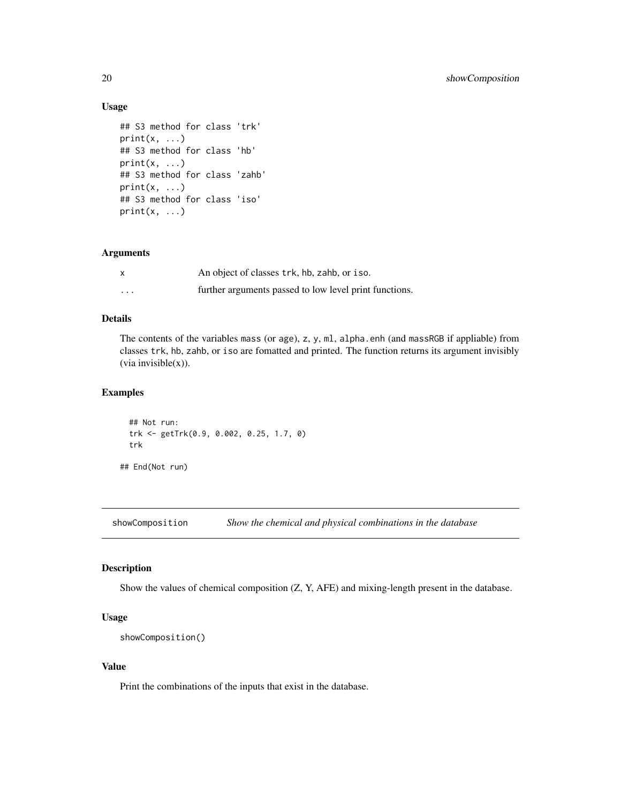#### Usage

```
## S3 method for class 'trk'
print(x, \ldots)## S3 method for class 'hb'
print(x, \ldots)## S3 method for class 'zahb'
print(x, \ldots)## S3 method for class 'iso'
print(x, \ldots)
```
#### Arguments

| $\boldsymbol{\mathsf{x}}$ | An object of classes trk, hb, zahb, or iso.            |
|---------------------------|--------------------------------------------------------|
| $\cdots$                  | further arguments passed to low level print functions. |

## Details

The contents of the variables mass (or age), z, y, ml, alpha.enh (and massRGB if appliable) from classes trk, hb, zahb, or iso are fomatted and printed. The function returns its argument invisibly  $(via$  invisible $(x)$ ).

## Examples

```
## Not run:
trk <- getTrk(0.9, 0.002, 0.25, 1.7, 0)
trk
```
## End(Not run)

<span id="page-19-1"></span>showComposition *Show the chemical and physical combinations in the database*

## Description

Show the values of chemical composition (Z, Y, AFE) and mixing-length present in the database.

## Usage

```
showComposition()
```
#### Value

Print the combinations of the inputs that exist in the database.

<span id="page-19-0"></span>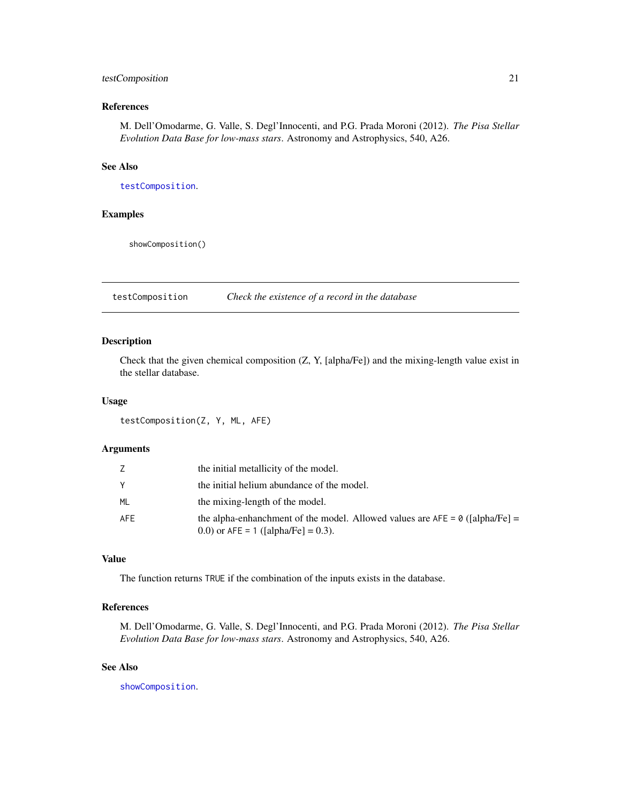## <span id="page-20-0"></span>testComposition 21

## References

M. Dell'Omodarme, G. Valle, S. Degl'Innocenti, and P.G. Prada Moroni (2012). *The Pisa Stellar Evolution Data Base for low-mass stars*. Astronomy and Astrophysics, 540, A26.

## See Also

[testComposition](#page-20-1).

#### Examples

showComposition()

<span id="page-20-1"></span>testComposition *Check the existence of a record in the database*

## Description

Check that the given chemical composition (Z, Y, [alpha/Fe]) and the mixing-length value exist in the stellar database.

## Usage

testComposition(Z, Y, ML, AFE)

#### Arguments

|            | the initial metallicity of the model.                                                                                   |
|------------|-------------------------------------------------------------------------------------------------------------------------|
|            | the initial helium abundance of the model.                                                                              |
| ML         | the mixing-length of the model.                                                                                         |
| <b>AFE</b> | the alpha-enhanchment of the model. Allowed values are $AFE = 0$ ([alpha/Fe] =<br>0.0) or $AFE = 1$ ([alpha/Fe] = 0.3). |

#### Value

The function returns TRUE if the combination of the inputs exists in the database.

## References

M. Dell'Omodarme, G. Valle, S. Degl'Innocenti, and P.G. Prada Moroni (2012). *The Pisa Stellar Evolution Data Base for low-mass stars*. Astronomy and Astrophysics, 540, A26.

#### See Also

[showComposition](#page-19-1).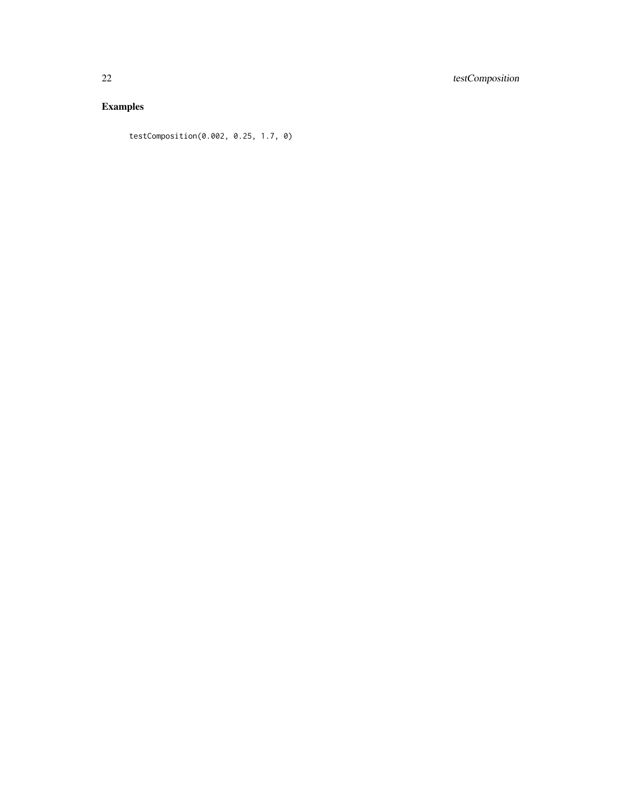## Examples

testComposition(0.002, 0.25, 1.7, 0)